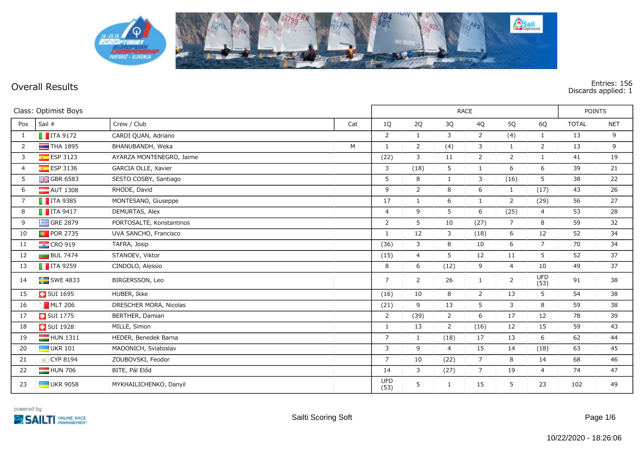

**Overall Results Entries: 156 Discards applied: 1**

| Class: Optimist Boys |                         |                          |     |                    | POINTS         |                |                |                |                |              |            |
|----------------------|-------------------------|--------------------------|-----|--------------------|----------------|----------------|----------------|----------------|----------------|--------------|------------|
| Pos                  | Sail #                  | Crew / Club              | Cat | 1Q                 | 2Q             | 3Q             | 4Q             | 5Q             | 6Q             | <b>TOTAL</b> | <b>NET</b> |
| 1                    | $\blacksquare$ ITA 9172 | CARDI QUAN, Adriano      |     | 2                  | $\mathbf{1}$   | 3              | $\overline{2}$ | (4)            | $\mathbf{1}$   | 13           | 9          |
| 2                    | $\blacksquare$ THA 1895 | BHANUBANDH, Weka         | M   | $\mathbf{1}$       | $\overline{2}$ | (4)            | 3              | $\mathbf{1}$   | $\overline{2}$ | 13           | 9          |
| 3                    | ESP 3123                | AYARZA MONTENEGRO, Jaime |     | (22)               | $\mathbf{3}$   | 11             | $\overline{2}$ | $\overline{2}$ | $\mathbf{1}$   | 41           | 19         |
| $\overline{4}$       | $E$ ESP 3136            | GARCIA OLLE, Xavier      |     | 3                  | (18)           | 5              | $\mathbf{1}$   | 6              | 6              | 39           | 21         |
| 5                    | $GBR$ 6583              | SESTO COSBY, Santiago    |     | 5                  | 8              | $\mathbf{1}$   | 3              | (16)           | 5              | 38           | 22         |
| 6                    | $\blacksquare$ AUT 1308 | RHODE, David             |     | 9                  | $\overline{2}$ | 8              | 6              | $\mathbf{1}$   | (17)           | 43           | 26         |
| 7                    | $\blacksquare$ ITA 9385 | MONTESANO, Giuseppe      |     | 17                 | $\mathbf{1}$   | 6              | $\mathbf{1}$   | 2              | (29)           | 56           | 27         |
| 8                    | $\blacksquare$ ITA 9417 | DEMURTAS, Alex           |     | $\overline{4}$     | 9              | 5              | 6              | (25)           | $\overline{4}$ | 53           | 28         |
| 9                    | $\equiv$ GRE 2879       | PORTOSALTE, Konstantinos |     | $\overline{2}$     | 5              | 10             | (27)           | $\overline{7}$ | 8              | 59           | 32         |
| 10                   | <b>D</b> POR 2735       | UVA SANCHO, Francisco    |     | $\mathbf{1}$       | 12             | 3              | (18)           | 6              | 12             | 52           | 34         |
| 11                   | $\frac{1}{2}$ CRO 919   | TAFRA, Josip             |     | (36)               | 3              | 8              | 10             | 6              | $\overline{7}$ | 70           | 34         |
| 12                   | $BUL$ 7474              | STANOEV, Viktor          |     | (15)               | $\overline{4}$ | 5              | 12             | 11             | 5              | 52           | 37         |
| 13                   | $\blacksquare$ ITA 9259 | CINDOLO, Alessio         |     | 8                  | 6              | (12)           | 9              | $\overline{4}$ | 10             | 49           | 37         |
| 14                   | $SWE$ 4833              | BIRGERSSON, Leo          |     | $\overline{7}$     | $\overline{2}$ | 26             | $\mathbf{1}$   | $\overline{2}$ | UFD<br>(53)    | 91           | 38         |
| 15                   | <b>B</b> SUI 1695       | HUBER, Ikke              |     | (16)               | 10             | 8              | $\overline{2}$ | 13             | 5              | 54           | 38         |
| 16                   | $MLT$ 206               | DRESCHER MORA, Nicolas   |     | (21)               | 9              | 13             | 5              | 3              | 8              | 59           | 38         |
| 17                   | <b>B</b> SUI 1775       | BERTHER, Damian          |     | 2                  | (39)           | 2              | 6              | 17             | 12             | 78           | 39         |
| 18                   | SUI 1928                | MILLE, Simon             |     | $\mathbf{1}$       | 13             | $\overline{2}$ | (16)           | 12             | 15             | 59           | 43         |
| 19                   | $HUN$ 1311              | HEDER, Benedek Barna     |     | $\overline{7}$     | $\mathbf{1}$   | (18)           | 17             | 13             | 6              | 62           | 44         |
| 20                   | $\blacksquare$ UKR 101  | MADONICH, Sviatoslav     |     | 3                  | 9              | $\overline{4}$ | 15             | 14             | (18)           | 63           | 45         |
| 21                   | CYP 8194                | ZOUBOVSKI, Feodor        |     | $\overline{7}$     | 10             | (22)           | $\overline{7}$ | 8              | 14             | 68           | 46         |
| 22                   | HUN 706                 | BITE, Pál Előd           |     | 14                 | 3              | (27)           | $\overline{7}$ | 19             | $\overline{4}$ | 74           | 47         |
| 23                   | <b>UKR 9058</b>         | MYKHAILICHENKO, Danyil   |     | <b>UFD</b><br>(53) | 5              | $\mathbf{1}$   | 15             | 5              | 23             | 102          | 49         |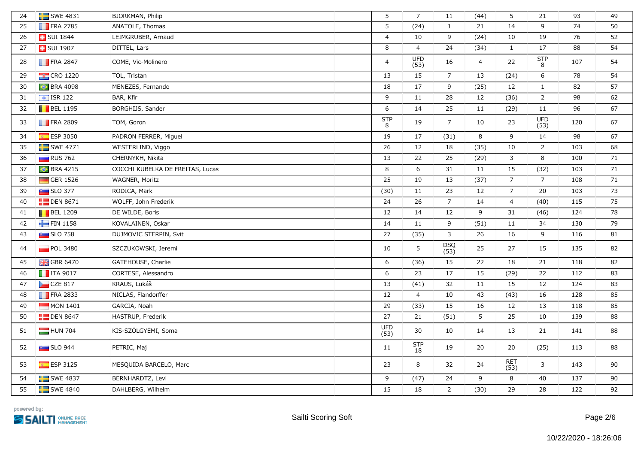| 24 | $SWE$ 4831              | BJORKMAN, Philip                 | 5                  | $\overline{7}$     | 11                 | (44)           | 5                  | 21                 | 93  | 49 |
|----|-------------------------|----------------------------------|--------------------|--------------------|--------------------|----------------|--------------------|--------------------|-----|----|
| 25 | $\blacksquare$ FRA 2785 | ANATOLE, Thomas                  | 5                  | (24)               | $\mathbf{1}$       | 21             | 14                 | 9                  | 74  | 50 |
| 26 | <b>B</b> SUI 1844       | LEIMGRUBER, Arnaud               | $\overline{4}$     | 10                 | 9                  | (24)           | 10                 | 19                 | 76  | 52 |
| 27 | <b>B</b> SUI 1907       | DITTEL, Lars                     | 8                  | $\overline{4}$     | 24                 | (34)           | $\mathbf{1}$       | 17                 | 88  | 54 |
| 28 | $\blacksquare$ FRA 2847 | CÔME, Vic-Molinero               | $\overline{4}$     | <b>UFD</b><br>(53) | 16                 | $\overline{4}$ | 22                 | <b>STP</b><br>8    | 107 | 54 |
| 29 | $\frac{1}{2}$ CRO 1220  | TOL, Tristan                     | 13                 | 15                 | $\overline{7}$     | 13             | (24)               | 6                  | 78  | 54 |
| 30 | <b>C</b> BRA 4098       | MENEZES, Fernando                | 18                 | 17                 | 9                  | (25)           | 12                 | $\mathbf{1}$       | 82  | 57 |
| 31 | $\frac{1}{2}$ ISR 122   | BAR, Kfir                        | 9                  | 11                 | 28                 | 12             | (36)               | $\overline{2}$     | 98  | 62 |
| 32 | $\blacksquare$ BEL 1195 | BORGHIJS, Sander                 | $\boldsymbol{6}$   | 14                 | 25                 | 11             | (29)               | $11\,$             | 96  | 67 |
| 33 | <b>FRA 2809</b>         | TOM, Goron                       | <b>STP</b><br>8    | 19                 | $\overline{7}$     | 10             | 23                 | <b>UFD</b><br>(53) | 120 | 67 |
| 34 | <b>ESP 3050</b>         | PADRON FERRER, Miguel            | 19                 | 17                 | (31)               | 8              | 9                  | 14                 | 98  | 67 |
| 35 | $SWE$ 4771              | WESTERLIND, Viggo                | 26                 | 12                 | 18                 | (35)           | 10                 | $\overline{2}$     | 103 | 68 |
| 36 | $\Box$ RUS 762          | CHERNYKH, Nikita                 | 13                 | 22                 | 25                 | (29)           | $\mathbf{3}$       | $\,8\,$            | 100 | 71 |
| 37 | <b>BRA 4215</b>         | COCCHI KUBELKA DE FREITAS, Lucas | 8                  | 6                  | 31                 | 11             | 15                 | (32)               | 103 | 71 |
| 38 | GER 1526                | WAGNER, Moritz                   | 25                 | 19                 | 13                 | (37)           | $\overline{7}$     | $\overline{7}$     | 108 | 71 |
| 39 | $\sim$ SLO 377          | RODICA, Mark                     | (30)               | 11                 | 23                 | 12             | $\overline{7}$     | $20\,$             | 103 | 73 |
| 40 | $\Box$ DEN 8671         | WOLFF, John Frederik             | 24                 | 26                 | $\overline{7}$     | 14             | $\overline{4}$     | (40)               | 115 | 75 |
| 41 | $\blacksquare$ BEL 1209 | DE WILDE, Boris                  | 12                 | 14                 | 12                 | 9              | 31                 | (46)               | 124 | 78 |
| 42 | FIN 1158                | KOVALAINEN, Oskar                | 14                 | 11                 | 9                  | (51)           | 11                 | 34                 | 130 | 79 |
| 43 | $SLO$ 758               | DUJMOVIĆ STERPIN, Svit           | 27                 | (35)               | $\mathbf{3}$       | 26             | 16                 | 9                  | 116 | 81 |
| 44 | <b>POL 3480</b>         | SZCZUKOWSKI, Jeremi              | 10                 | 5                  | <b>DSQ</b><br>(53) | 25             | 27                 | 15                 | 135 | 82 |
| 45 | <b>H</b> GBR 6470       | GATEHOUSE, Charlie               | 6                  | (36)               | 15                 | 22             | 18                 | 21                 | 118 | 82 |
| 46 | $\blacksquare$ ITA 9017 | CORTESE, Alessandro              | 6                  | 23                 | 17                 | 15             | (29)               | 22                 | 112 | 83 |
| 47 | CZE 817                 | KRAUS, Lukáš                     | 13                 | (41)               | 32                 | 11             | 15                 | 12                 | 124 | 83 |
| 48 | $\blacksquare$ FRA 2833 | NICLAS, Flandorffer              | 12                 | $\overline{4}$     | 10                 | 43             | (43)               | 16                 | 128 | 85 |
| 49 | $\blacksquare$ MON 1401 | GARCIA, Noah                     | 29                 | (33)               | 15                 | 16             | 12                 | 13                 | 118 | 85 |
| 50 | $\Box$ DEN 8647         | HASTRUP, Frederik                | 27                 | 21                 | (51)               | 5              | 25                 | 10                 | 139 | 88 |
| 51 | HUN 704                 | KIS-SZÖLGYÉMI, Soma              | <b>UFD</b><br>(53) | 30                 | 10                 | 14             | 13                 | 21                 | 141 | 88 |
| 52 | $\blacksquare$ SLO 944  | PETRIČ, Maj                      | 11                 | <b>STP</b><br>18   | 19                 | 20             | 20                 | (25)               | 113 | 88 |
| 53 | <b>ESP 3125</b>         | MESQUIDA BARCELO, Marc           | 23                 | 8                  | 32                 | 24             | <b>RET</b><br>(53) | 3                  | 143 | 90 |
| 54 | $\blacksquare$ SWE 4837 | BERNHARDTZ, Levi                 | 9                  | (47)               | 24                 | 9              | $\,8\,$            | $40\,$             | 137 | 90 |
| 55 | $SWE$ 4840              | DAHLBERG, Wilhelm                | 15                 | 18                 | $\overline{2}$     | (30)           | 29                 | 28                 | 122 | 92 |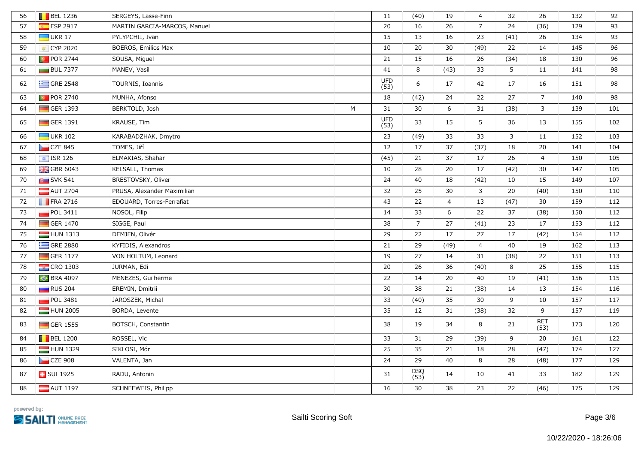| 56 | $\blacksquare$ BEL 1236 | SERGEYS, Lasse-Finn          |   | 11                 | (40)           | 19             | $\overline{4}$ | 32           | 26             | 132 | 92  |
|----|-------------------------|------------------------------|---|--------------------|----------------|----------------|----------------|--------------|----------------|-----|-----|
| 57 | <b>ESP 2917</b>         | MARTIN GARCIA-MARCOS, Manuel |   | 20                 | 16             | 26             | $\overline{7}$ | 24           | (36)           | 129 | 93  |
| 58 | $\Box$ UKR 17           | PYLYPCHII, Ivan              |   | 15                 | 13             | 16             | 23             | (41)         | 26             | 134 | 93  |
| 59 | CYP 2020                | BOEROS, Emilios Max          |   | 10                 | 20             | 30             | (49)           | 22           | 14             | 145 | 96  |
| 60 | <b>D</b> POR 2744       | SOUSA, Miguel                |   | 21                 | 15             | 16             | 26             | (34)         | 18             | 130 | 96  |
| 61 | <b>BUL 7377</b>         | MANEV, Vasil                 |   | 41                 | 8              | (43)           | 33             | 5            | 11             | 141 | 98  |
| 62 | $\equiv$ GRE 2548       | TOURNIS, Ioannis             |   | <b>UFD</b><br>(53) | 6              | 17             | 42             | 17           | 16             | 151 | 98  |
| 63 | <b>D</b> POR 2740       | MUNHA, Afonso                |   | 18                 | (42)           | 24             | 22             | 27           | $\overline{7}$ | 140 | 98  |
| 64 | GER 1393                | BERKTOLD, Josh               | M | 31                 | 30             | 6              | 31             | (38)         | $\mathbf{3}$   | 139 | 101 |
| 65 | GER 1391                | KRAUSE, Tim                  |   | <b>UFD</b><br>(53) | 33             | 15             | 5              | 36           | 13             | 155 | 102 |
| 66 | $\blacksquare$ UKR 102  | KARABADZHAK, Dmytro          |   | 23                 | (49)           | 33             | 33             | $\mathbf{3}$ | 11             | 152 | 103 |
| 67 | CZE 845                 | TOMES, Jiří                  |   | 12                 | 17             | 37             | (37)           | 18           | 20             | 141 | 104 |
| 68 | $\boxed{\div}$ ISR 126  | ELMAKIAS, Shahar             |   | (45)               | 21             | 37             | 17             | 26           | $\overline{4}$ | 150 | 105 |
| 69 | <b>H</b> GBR 6043       | KELSALL, Thomas              |   | 10                 | 28             | 20             | 17             | (42)         | 30             | 147 | 105 |
| 70 | <b>B</b> SVK 541        | BRESTOVSKY, Oliver           |   | 24                 | 40             | 18             | (42)           | 10           | 15             | 149 | 107 |
| 71 | AUT 2704                | PRUSA, Alexander Maximilian  |   | 32                 | 25             | 30             | 3              | 20           | (40)           | 150 | 110 |
| 72 | $\blacksquare$ FRA 2716 | EDOUARD, Torres-Ferrafiat    |   | 43                 | 22             | $\overline{4}$ | 13             | (47)         | 30             | 159 | 112 |
| 73 | <b>POL 3411</b>         | NOSOL, Filip                 |   | 14                 | 33             | 6              | 22             | 37           | (38)           | 150 | 112 |
| 74 | GER 1470                | SIGGE, Paul                  |   | 38                 | $\overline{7}$ | 27             | (41)           | 23           | 17             | 153 | 112 |
| 75 | $HUN$ 1313              | DEMJÉN, Olivér               |   | 29                 | 22             | 17             | 27             | 17           | (42)           | 154 | 112 |
| 76 | $\equiv$ GRE 2880       | KYFIDIS, Alexandros          |   | 21                 | 29             | (49)           | $\overline{4}$ | 40           | 19             | 162 | 113 |
| 77 | GER 1177                | VON HOLTUM, Leonard          |   | 19                 | 27             | 14             | 31             | (38)         | 22             | 151 | 113 |
| 78 | <b>EX</b> CRO 1303      | JURMAN, Edi                  |   | 20                 | 26             | 36             | (40)           | $\,8\,$      | 25             | 155 | 115 |
| 79 | <b>C</b> BRA 4097       | MENEZES, Guilherme           |   | 22                 | 14             | 20             | 40             | 19           | (41)           | 156 | 115 |
| 80 | <b>RUS</b> 204          | EREMIN, Dmitrii              |   | 30                 | 38             | 21             | (38)           | 14           | 13             | 154 | 116 |
| 81 | <b>POL 3481</b>         | JAROSZEK, Michal             |   | 33                 | (40)           | 35             | 30             | 9            | 10             | 157 | 117 |
| 82 | HUN 2005                | BORDA, Levente               |   | 35                 | 12             | 31             | (38)           | 32           | 9              | 157 | 119 |
| 83 | $\Box$ GER 1555         | BOTSCH, Constantin           |   | 38                 | 19             | 34             | 8              | 21           | RET<br>(53)    | 173 | 120 |
| 84 | $\blacksquare$ BEL 1200 | ROSSEL, Vic                  |   | 33                 | 31             | 29             | (39)           | 9            | 20             | 161 | 122 |
| 85 | HUN 1329                | SIKLÓSI, Mór                 |   | 25                 | 35             | 21             | 18             | 28           | (47)           | 174 | 127 |
| 86 | $CZE$ 908               | VALENTA, Jan                 |   | 24                 | 29             | 40             | 8              | 28           | (48)           | 177 | 129 |
| 87 | <b>B</b> SUI 1925       | RADU, Antonin                |   | 31                 | DSQ<br>(53)    | 14             | 10             | 41           | 33             | 182 | 129 |
| 88 | $\blacksquare$ AUT 1197 | SCHNEEWEIS, Philipp          |   | 16                 | 30             | 38             | 23             | 22           | (46)           | 175 | 129 |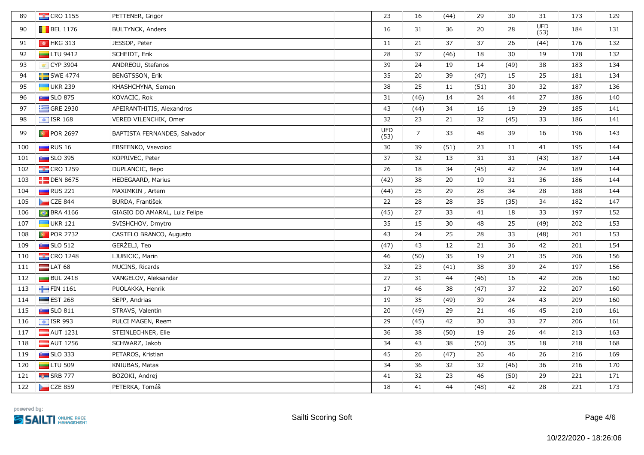| 89  | <b>CRO</b> 1155          | PETTENER, Grigor              | 23                 | 16             | (44) | 29   | 30   | 31          | 173 | 129 |
|-----|--------------------------|-------------------------------|--------------------|----------------|------|------|------|-------------|-----|-----|
| 90  | $\blacksquare$ BEL 1176  | <b>BULTYNCK, Anders</b>       | 16                 | 31             | 36   | 20   | 28   | UFD<br>(53) | 184 | 131 |
| 91  | $\frac{1}{2}$ HKG 313    | JESSOP, Peter                 | 11                 | 21             | 37   | 37   | 26   | (44)        | 176 | 132 |
| 92  | $\Box$ LTU 9412          | SCHEIDT, Erik                 | 28                 | 37             | (46) | 18   | 30   | 19          | 178 | 132 |
| 93  | ₹ CYP 3904               | ANDREOU, Stefanos             | 39                 | 24             | 19   | 14   | (49) | 38          | 183 | 134 |
| 94  | $SWE$ 4774               | BENGTSSON, Erik               | 35                 | 20             | 39   | (47) | 15   | 25          | 181 | 134 |
| 95  | $\blacksquare$ UKR 239   | KHASHCHYNA, Semen             | 38                 | 25             | 11   | (51) | 30   | 32          | 187 | 136 |
| 96  | <b>Extra</b> SLO 875     | KOVACIC, Rok                  | 31                 | (46)           | 14   | 24   | 44   | 27          | 186 | 140 |
| 97  | $\equiv$ GRE 2930        | APEIRANTHITIS, Alexandros     | 43                 | (44)           | 34   | 16   | 19   | 29          | 185 | 141 |
| 98  | $\frac{1}{2}$ ISR 168    | VERED VILENCHIK, Omer         | 32                 | 23             | 21   | 32   | (45) | 33          | 186 | 141 |
| 99  | <b>D</b> POR 2697        | BAPTISTA FERNANDES, Salvador  | <b>UFD</b><br>(53) | $\overline{7}$ | 33   | 48   | 39   | 16          | 196 | 143 |
| 100 | $\Box$ RUS 16            | EBSEENKO, Vsevoiod            | 30                 | 39             | (51) | 23   | 11   | 41          | 195 | 144 |
| 101 | $\blacksquare$ SLO 395   | KOPRIVEC, Peter               | 37                 | 32             | 13   | 31   | 31   | (43)        | 187 | 144 |
| 102 | $\frac{1}{2}$ CRO 1259   | DUPLANCIC, Bepo               | 26                 | 18             | 34   | (45) | 42   | 24          | 189 | 144 |
| 103 | $\Box$ DEN 8675          | HEDEGAARD, Marius             | (42)               | 38             | 20   | 19   | 31   | 36          | 186 | 144 |
| 104 | RUS 221                  | MAXIMKIN, Artem               | (44)               | 25             | 29   | 28   | 34   | 28          | 188 | 144 |
| 105 | CZE 844                  | BURDA, František              | 22                 | 28             | 28   | 35   | (35) | 34          | 182 | 147 |
| 106 | <b>BRA 4166</b>          | GIAGIO DO AMARAL, Luiz Felipe | (45)               | 27             | 33   | 41   | 18   | 33          | 197 | 152 |
| 107 | $\Box$ UKR 121           | SVISHCHOV, Dmytro             | 35                 | 15             | 30   | 48   | 25   | (49)        | 202 | 153 |
| 108 | <b>D</b> POR 2732        | CASTELO BRANCO, Augusto       | 43                 | 24             | 25   | 28   | 33   | (48)        | 201 | 153 |
| 109 | $\sim$ SLO 512           | GERZELJ, Teo                  | (47)               | 43             | 12   | 21   | 36   | 42          | 201 | 154 |
| 110 | $\frac{12}{12}$ CRO 1248 | LJUBICIC, Marin               | 46                 | (50)           | 35   | 19   | 21   | 35          | 206 | 156 |
| 111 | $LAT$ 68                 | MUCINS, Ricards               | 32                 | 23             | (41) | 38   | 39   | 24          | 197 | 156 |
| 112 | <b>BUL 2418</b>          | VANGELOV, Aleksandar          | 27                 | 31             | 44   | (46) | 16   | 42          | 206 | 160 |
| 113 | FIN 1161                 | PUOLAKKA, Henrik              | 17                 | 46             | 38   | (47) | 37   | 22          | 207 | 160 |
| 114 | $\equiv$ EST 268         | SEPP, Andrias                 | 19                 | 35             | (49) | 39   | 24   | 43          | 209 | 160 |
| 115 | $\sim$ SLO 811           | STRAVS, Valentin              | 20                 | (49)           | 29   | 21   | 46   | 45          | 210 | 161 |
| 116 | $\boxed{\div}$ ISR 993   | PULCI MAGEN, Reem             | 29                 | (45)           | 42   | 30   | 33   | 27          | 206 | 161 |
| 117 | $\blacksquare$ AUT 1231  | STEINLECHNER, Elie            | 36                 | 38             | (50) | 19   | 26   | 44          | 213 | 163 |
| 118 | AUT 1256                 | SCHWARZ, Jakob                | 34                 | 43             | 38   | (50) | 35   | 18          | 218 | 168 |
| 119 | $SLO$ 333                | PETAROS, Kristian             | 45                 | 26             | (47) | 26   | 46   | 26          | 216 | 169 |
| 120 | $\Box$ LTU 509           | KNIUBAS, Matas                | 34                 | 36             | 32   | 32   | (46) | 36          | 216 | 170 |
| 121 | $\overline{B}$ SRB 777   | BOZOKI, Andrej                | 41                 | 32             | 23   | 46   | (50) | 29          | 221 | 171 |
| 122 | CZE 859                  | PETERKA, Tomáš                | 18                 | 41             | 44   | (48) | 42   | 28          | 221 | 173 |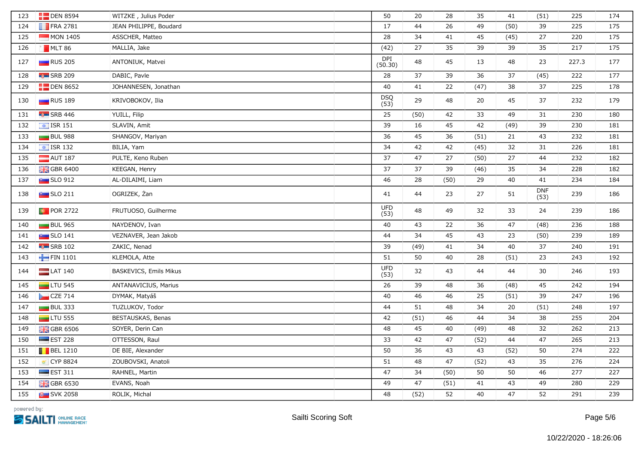| 123 | $\Box$ DEN 8594                  | WITZKE, Julius Poder   | 50                    | 20   | 28   | 35   | 41   | (51)               | 225   | 174 |
|-----|----------------------------------|------------------------|-----------------------|------|------|------|------|--------------------|-------|-----|
| 124 | $\blacksquare$ FRA 2781          | JEAN PHILIPPE, Boudard | 17                    | 44   | 26   | 49   | (50) | 39                 | 225   | 175 |
| 125 | $MON$ 1405                       | ASSCHER, Matteo        | 28                    | 34   | 41   | 45   | (45) | 27                 | 220   | 175 |
| 126 | MLT 86                           | MALLIA, Jake           | (42)                  | 27   | 35   | 39   | 39   | 35                 | 217   | 175 |
| 127 | RUS 205                          | ANTONIUK, Matvei       | <b>DPI</b><br>(50.30) | 48   | 45   | 13   | 48   | 23                 | 227.3 | 177 |
| 128 | $\overline{16}$ SRB 209          | DABIC, Pavle           | 28                    | 37   | 39   | 36   | 37   | (45)               | 222   | 177 |
| 129 | $\Box$ DEN 8652                  | JOHANNESEN, Jonathan   | 40                    | 41   | 22   | (47) | 38   | 37                 | 225   | 178 |
| 130 | <b>RUS</b> 189                   | KRIVOBOKOV, Ilia       | DSQ<br>(53)           | 29   | 48   | 20   | 45   | 37                 | 232   | 179 |
| 131 | <b>Fall</b> SRB 446              | YUILL, Filip           | 25                    | (50) | 42   | 33   | 49   | 31                 | 230   | 180 |
| 132 | $\frac{1}{2}$ ISR 151            | SLAVIN, Amit           | 39                    | 16   | 45   | 42   | (49) | 39                 | 230   | 181 |
| 133 | <b>BUL 988</b>                   | SHANGOV, Mariyan       | 36                    | 45   | 36   | (51) | 21   | 43                 | 232   | 181 |
| 134 | $\boxed{\div}$ ISR 132           | BILIA, Yam             | 34                    | 42   | 42   | (45) | 32   | 31                 | 226   | 181 |
| 135 | $\blacksquare$ AUT 187           | PULTE, Keno Ruben      | 37                    | 47   | 27   | (50) | 27   | 44                 | 232   | 182 |
| 136 | <b>HE</b> GBR 6400               | KEEGAN, Henry          | 37                    | 37   | 39   | (46) | 35   | 34                 | 228   | 182 |
| 137 | <b>But</b> SLO 912               | AL-DILAIMI, Liam       | 46                    | 28   | (50) | 29   | 40   | 41                 | 234   | 184 |
| 138 | $\sim$ SLO 211                   | OGRIZEK, Żan           | 41                    | 44   | 23   | 27   | 51   | <b>DNF</b><br>(53) | 239   | 186 |
| 139 | <b>D</b> POR 2722                | FRUTUOSO, Guilherme    | <b>UFD</b><br>(53)    | 48   | 49   | 32   | 33   | 24                 | 239   | 186 |
| 140 | <b>BUL 965</b>                   | NAYDENOV, Ivan         | 40                    | 43   | 22   | 36   | 47   | (48)               | 236   | 188 |
| 141 | $\sim$ SLO 141                   | VEZNAVER, Jean Jakob   | 44                    | 34   | 45   | 43   | 23   | (50)               | 239   | 189 |
| 142 | $\overline{\phantom{a}}$ SRB 102 | ZAKIC, Nenad           | 39                    | (49) | 41   | 34   | 40   | 37                 | 240   | 191 |
| 143 | FIN 1101                         | KLEMOLA, Atte          | 51                    | 50   | 40   | 28   | (51) | 23                 | 243   | 192 |
| 144 | $LAT$ 140                        | BASKEVICS, Emils Mikus | <b>UFD</b><br>(53)    | 32   | 43   | 44   | 44   | 30                 | 246   | 193 |
| 145 | $LTU$ 545                        | ANTANAVIČIUS, Marius   | 26                    | 39   | 48   | 36   | (48) | 45                 | 242   | 194 |
| 146 | CZE 714                          | DYMÁK, Matyáš          | 40                    | 46   | 46   | 25   | (51) | 39                 | 247   | 196 |
| 147 | $BUL$ 333                        | TUZLUKOV, Todor        | 44                    | 51   | 48   | 34   | 20   | (51)               | 248   | 197 |
| 148 | $\Box$ LTU 555                   | BESTAUSKAS, Benas      | 42                    | (51) | 46   | 44   | 34   | 38                 | 255   | 204 |
| 149 | $\frac{100}{100}$ GBR 6506       | SOYER, Derin Can       | 48                    | 45   | 40   | (49) | 48   | 32                 | 262   | 213 |
| 150 | $\equiv$ EST 228                 | OTTESSON, Raul         | 33                    | 42   | 47   | (52) | 44   | 47                 | 265   | 213 |
| 151 | $\blacksquare$ BEL 1210          | DE BIE, Alexander      | 50                    | 36   | 43   | 43   | (52) | 50                 | 274   | 222 |
| 152 | CYP 8824                         | ZOUBOVSKI, Anatoli     | 51                    | 48   | 47   | (52) | 43   | 35                 | 276   | 224 |
| 153 | $\equiv$ EST 311                 | RAHNEL, Martin         | 47                    | 34   | (50) | 50   | 50   | 46                 | 277   | 227 |
| 154 | $\frac{100}{100}$ GBR 6530       | EVANS, Noah            | 49                    | 47   | (51) | 41   | 43   | 49                 | 280   | 229 |
| 155 | <b>Part</b> SVK 2058             | ROLIK, Michal          | 48                    | (52) | 52   | 40   | 47   | 52                 | 291   | 239 |